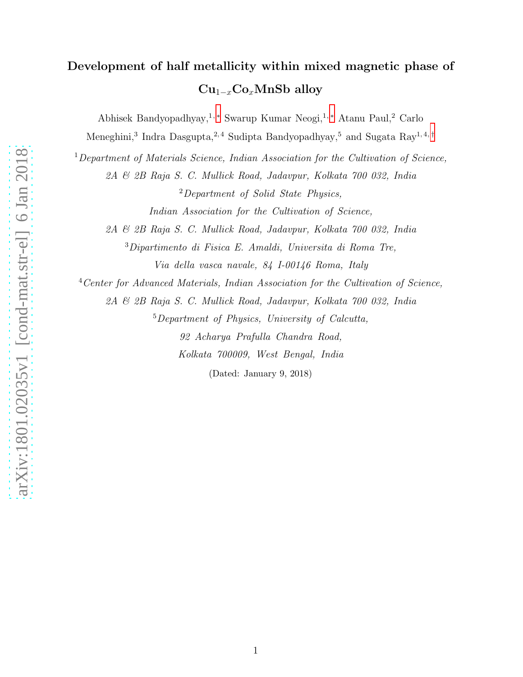# Development of half metallicity within mixed magnetic phase of  $Cu_{1-x}Co_xMnSb$  alloy

Abhisek Bandyopadhyay,1, [∗](#page-15-0) Swarup Kumar Neogi,1, [∗](#page-15-0) Atanu Paul,<sup>2</sup> Carlo

Meneghini,<sup>3</sup> Indra Dasgupta,<sup>2,4</sup> Sudipta Bandyopadhyay,<sup>5</sup> and Sugata Ray<sup>1,4,[†](#page-15-1)</sup>

 $1$ Department of Materials Science, Indian Association for the Cultivation of Science,

2A & 2B Raja S. C. Mullick Road, Jadavpur, Kolkata 700 032, India

<sup>2</sup>Department of Solid State Physics,

Indian Association for the Cultivation of Science,

2A & 2B Raja S. C. Mullick Road, Jadavpur, Kolkata 700 032, India

<sup>3</sup>Dipartimento di Fisica E. Amaldi, Universita di Roma Tre,

Via della vasca navale, 84 I-00146 Roma, Italy

<sup>4</sup>Center for Advanced Materials, Indian Association for the Cultivation of Science,

2A & 2B Raja S. C. Mullick Road, Jadavpur, Kolkata 700 032, India

<sup>5</sup>Department of Physics, University of Calcutta,

92 Acharya Prafulla Chandra Road, Kolkata 700009, West Bengal, India

(Dated: January 9, 2018)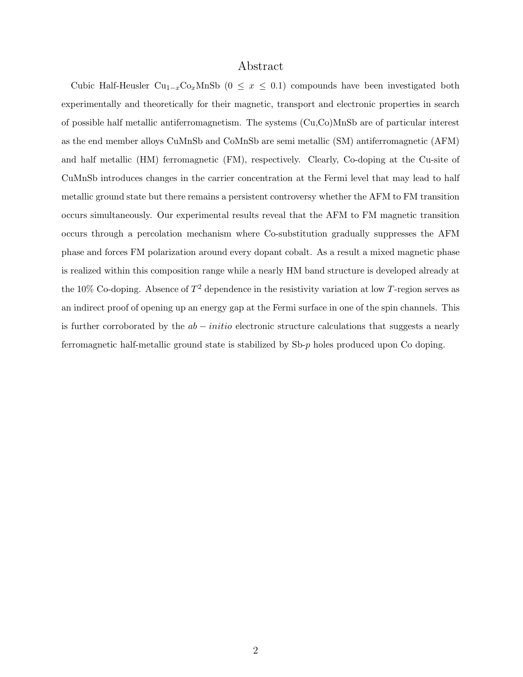# Abstract

Cubic Half-Heusler Cu<sub>1−x</sub>Co<sub>x</sub>MnSb (0 ≤ x ≤ 0.1) compounds have been investigated both experimentally and theoretically for their magnetic, transport and electronic properties in search of possible half metallic antiferromagnetism. The systems (Cu,Co)MnSb are of particular interest as the end member alloys CuMnSb and CoMnSb are semi metallic (SM) antiferromagnetic (AFM) and half metallic (HM) ferromagnetic (FM), respectively. Clearly, Co-doping at the Cu-site of CuMnSb introduces changes in the carrier concentration at the Fermi level that may lead to half metallic ground state but there remains a persistent controversy whether the AFM to FM transition occurs simultaneously. Our experimental results reveal that the AFM to FM magnetic transition occurs through a percolation mechanism where Co-substitution gradually suppresses the AFM phase and forces FM polarization around every dopant cobalt. As a result a mixed magnetic phase is realized within this composition range while a nearly HM band structure is developed already at the 10% Co-doping. Absence of  $T^2$  dependence in the resistivity variation at low T-region serves as an indirect proof of opening up an energy gap at the Fermi surface in one of the spin channels. This is further corroborated by the  $ab - initio$  electronic structure calculations that suggests a nearly ferromagnetic half-metallic ground state is stabilized by Sb-p holes produced upon Co doping.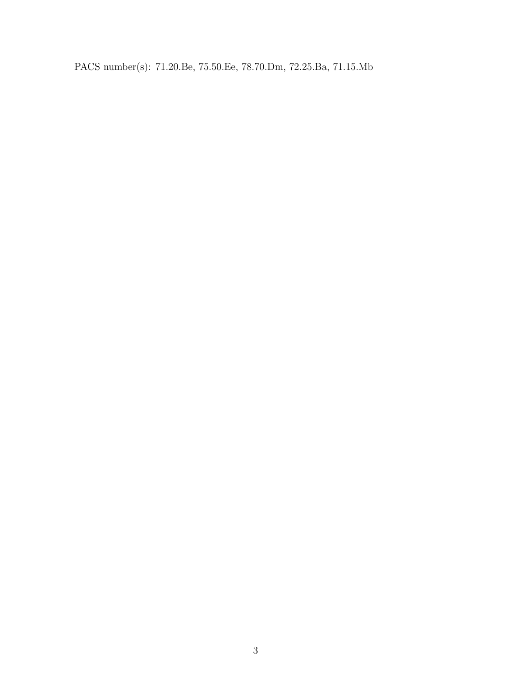PACS number(s): 71.20.Be, 75.50.Ee, 78.70.Dm, 72.25.Ba, 71.15.Mb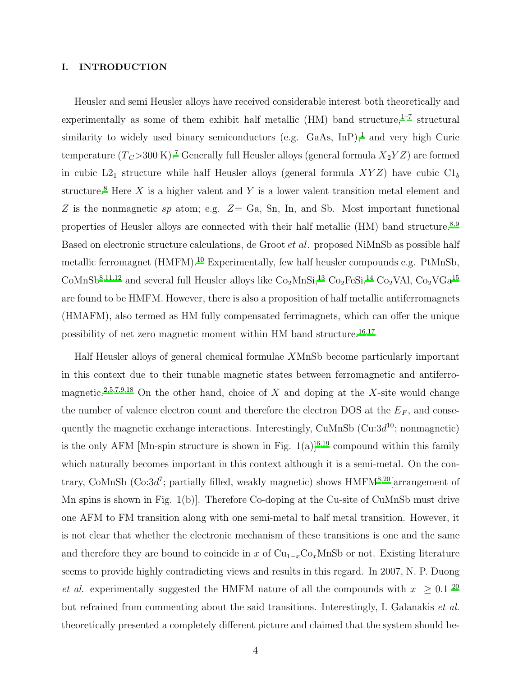# I. INTRODUCTION

Heusler and semi Heusler alloys have received considerable interest both theoretically and experimentally as some of them exhibit half metallic (HM) band structure, $1-7$  $1-7$  structural similarity to widely used binary semiconductors (e.g. GaAs,  $\text{InP}$ ),<sup>[1](#page-15-2)</sup> and very high Curie temperature  $(T_C > 300 \text{ K})$ .<sup>[7](#page-15-3)</sup> Generally full Heusler alloys (general formula  $X_2 Y Z$ ) are formed in cubic  $L2_1$  structure while half Heusler alloys (general formula  $XYZ$ ) have cubic  $Cl_b$ structure.<sup>[8](#page-15-4)</sup> Here X is a higher valent and Y is a lower valent transition metal element and Z is the nonmagnetic sp atom; e.g.  $Z = Ga$ , Sn, In, and Sb. Most important functional properties of Heusler alloys are connected with their half metallic (HM) band structure.<sup>[8](#page-15-4)[,9](#page-15-5)</sup> Based on electronic structure calculations, de Groot et al. proposed NiMnSb as possible half metallic ferromagnet (HMFM).<sup>[10](#page-15-6)</sup> Experimentally, few half heusler compounds e.g. PtMnSb, CoMnSb<sup>[8](#page-15-4)[,11](#page-16-0)[,12](#page-16-1)</sup> and several full Heusler alloys like  $Co<sub>2</sub>MnSi<sub>1</sub><sup>13</sup> Co<sub>2</sub>FeSi<sub>1</sub><sup>14</sup> Co<sub>2</sub>VAl, Co<sub>2</sub>VGa<sup>15</sup>$  $Co<sub>2</sub>MnSi<sub>1</sub><sup>13</sup> Co<sub>2</sub>FeSi<sub>1</sub><sup>14</sup> Co<sub>2</sub>VAl, Co<sub>2</sub>VGa<sup>15</sup>$  $Co<sub>2</sub>MnSi<sub>1</sub><sup>13</sup> Co<sub>2</sub>FeSi<sub>1</sub><sup>14</sup> Co<sub>2</sub>VAl, Co<sub>2</sub>VGa<sup>15</sup>$  $Co<sub>2</sub>MnSi<sub>1</sub><sup>13</sup> Co<sub>2</sub>FeSi<sub>1</sub><sup>14</sup> Co<sub>2</sub>VAl, Co<sub>2</sub>VGa<sup>15</sup>$  $Co<sub>2</sub>MnSi<sub>1</sub><sup>13</sup> Co<sub>2</sub>FeSi<sub>1</sub><sup>14</sup> Co<sub>2</sub>VAl, Co<sub>2</sub>VGa<sup>15</sup>$  $Co<sub>2</sub>MnSi<sub>1</sub><sup>13</sup> Co<sub>2</sub>FeSi<sub>1</sub><sup>14</sup> Co<sub>2</sub>VAl, Co<sub>2</sub>VGa<sup>15</sup>$  $Co<sub>2</sub>MnSi<sub>1</sub><sup>13</sup> Co<sub>2</sub>FeSi<sub>1</sub><sup>14</sup> Co<sub>2</sub>VAl, Co<sub>2</sub>VGa<sup>15</sup>$ are found to be HMFM. However, there is also a proposition of half metallic antiferromagnets (HMAFM), also termed as HM fully compensated ferrimagnets, which can offer the unique possibility of net zero magnetic moment within HM band structure.[16](#page-16-5)[,17](#page-16-6)

Half Heusler alloys of general chemical formulae XMnSb become particularly important in this context due to their tunable magnetic states between ferromagnetic and antiferro-magnetic.<sup>[2](#page-15-7)[,5](#page-15-8)[,7](#page-15-3)[,9](#page-15-5)[,18](#page-16-7)</sup> On the other hand, choice of X and doping at the X-site would change the number of valence electron count and therefore the electron DOS at the  $E_F$ , and consequently the magnetic exchange interactions. Interestingly,  $\text{CuMnSb}$  ( $\text{Cu}:3d^{10}$ ; nonmagnetic) is the only AFM [Mn-spin structure is shown in Fig.  $1(a)|^{6,19}$  $1(a)|^{6,19}$  $1(a)|^{6,19}$  $1(a)|^{6,19}$  compound within this family which naturally becomes important in this context although it is a semi-metal. On the contrary, CoMnSb (Co: $3d^7$ ; partially filled, weakly magnetic) shows  $H\text{MFM}^{8,20}$  $H\text{MFM}^{8,20}$  $H\text{MFM}^{8,20}$  $H\text{MFM}^{8,20}$  arrangement of Mn spins is shown in Fig. 1(b)]. Therefore Co-doping at the Cu-site of CuMnSb must drive one AFM to FM transition along with one semi-metal to half metal transition. However, it is not clear that whether the electronic mechanism of these transitions is one and the same and therefore they are bound to coincide in x of  $Cu_{1-x}Co_xMnSb$  or not. Existing literature seems to provide highly contradicting views and results in this regard. In 2007, N. P. Duong et al. experimentally suggested the HMFM nature of all the compounds with  $x \ge 0.1$  <sup>[20](#page-16-9)</sup> but refrained from commenting about the said transitions. Interestingly, I. Galanakis et al. theoretically presented a completely different picture and claimed that the system should be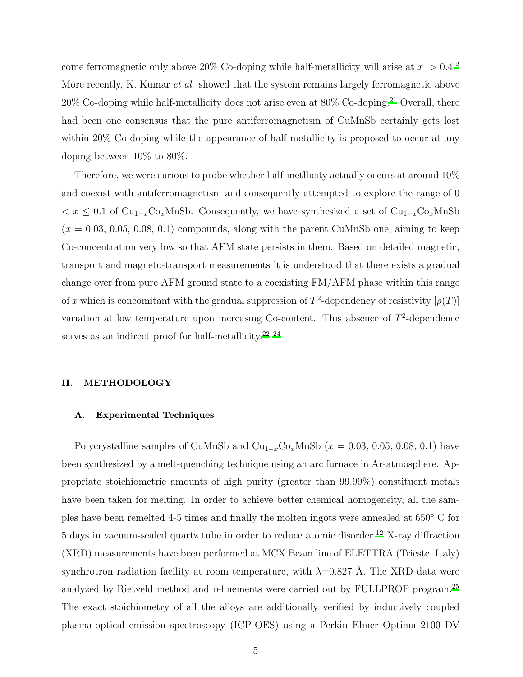come ferromagnetic only above [2](#page-15-7)0% Co-doping while half-metallicity will arise at  $x > 0.4$ <sup>2</sup> More recently, K. Kumar *et al.* showed that the system remains largely ferromagnetic above  $20\%$  Co-doping while half-metallicity does not arise even at  $80\%$  Co-doping.<sup>[21](#page-16-10)</sup> Overall, there had been one consensus that the pure antiferromagnetism of CuMnSb certainly gets lost within 20% Co-doping while the appearance of half-metallicity is proposed to occur at any doping between 10% to 80%.

Therefore, we were curious to probe whether half-metllicity actually occurs at around 10% and coexist with antiferromagnetism and consequently attempted to explore the range of 0  $x \leq 0.1$  of Cu<sub>1−x</sub>Co<sub>x</sub>MnSb. Consequently, we have synthesized a set of Cu<sub>1−x</sub>Co<sub>x</sub>MnSb  $(x = 0.03, 0.05, 0.08, 0.1)$  compounds, along with the parent CuMnSb one, aiming to keep Co-concentration very low so that AFM state persists in them. Based on detailed magnetic, transport and magneto-transport measurements it is understood that there exists a gradual change over from pure AFM ground state to a coexisting FM/AFM phase within this range of x which is concomitant with the gradual suppression of  $T^2$ -dependency of resistivity  $[\rho(T)]$ variation at low temperature upon increasing Co-content. This absence of  $T^2$ -dependence serves as an indirect proof for half-metallicity. $2^{2-24}$ 

# II. METHODOLOGY

#### A. Experimental Techniques

Polycrystalline samples of CuMnSb and  $\text{Cu}_{1-x}\text{Co}_x\text{MnSb}$  ( $x = 0.03, 0.05, 0.08, 0.1$ ) have been synthesized by a melt-quenching technique using an arc furnace in Ar-atmosphere. Appropriate stoichiometric amounts of high purity (greater than 99.99%) constituent metals have been taken for melting. In order to achieve better chemical homogeneity, all the samples have been remelted 4-5 times and finally the molten ingots were annealed at 650◦ C for 5 days in vacuum-sealed quartz tube in order to reduce atomic disorder.[12](#page-16-1) X-ray diffraction (XRD) measurements have been performed at MCX Beam line of ELETTRA (Trieste, Italy) synchrotron radiation facility at room temperature, with  $\lambda=0.827$  Å. The XRD data were analyzed by Rietveld method and refinements were carried out by FULLPROF program.[25](#page-16-13) The exact stoichiometry of all the alloys are additionally verified by inductively coupled plasma-optical emission spectroscopy (ICP-OES) using a Perkin Elmer Optima 2100 DV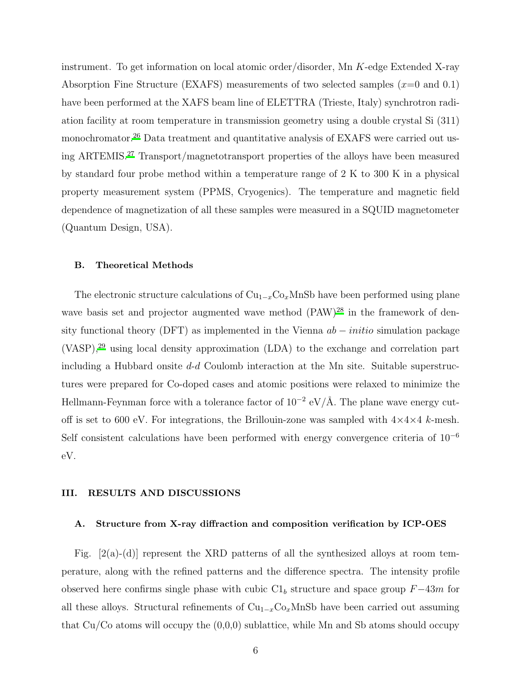instrument. To get information on local atomic order/disorder, Mn K-edge Extended X-ray Absorption Fine Structure (EXAFS) measurements of two selected samples  $(x=0 \text{ and } 0.1)$ have been performed at the XAFS beam line of ELETTRA (Trieste, Italy) synchrotron radiation facility at room temperature in transmission geometry using a double crystal Si (311) monochromator.<sup>26</sup> Data treatment and quantitative analysis of EXAFS were carried out using ARTEMIS.[27](#page-16-14) Transport/magnetotransport properties of the alloys have been measured by standard four probe method within a temperature range of 2 K to 300 K in a physical property measurement system (PPMS, Cryogenics). The temperature and magnetic field dependence of magnetization of all these samples were measured in a SQUID magnetometer (Quantum Design, USA).

# B. Theoretical Methods

The electronic structure calculations of  $Cu_{1-x}Co_xMnSb$  have been performed using plane wave basis set and projector augmented wave method (PAW)<sup>[28](#page-17-0)</sup> in the framework of density functional theory (DFT) as implemented in the Vienna  $ab - initio$  simulation package (VASP),[29](#page-17-1) using local density approximation (LDA) to the exchange and correlation part including a Hubbard onsite d-d Coulomb interaction at the Mn site. Suitable superstructures were prepared for Co-doped cases and atomic positions were relaxed to minimize the Hellmann-Feynman force with a tolerance factor of  $10^{-2}$  eV/Å. The plane wave energy cutoff is set to 600 eV. For integrations, the Brillouin-zone was sampled with  $4\times4\times4$  k-mesh. Self consistent calculations have been performed with energy convergence criteria of 10<sup>−</sup><sup>6</sup> eV.

# III. RESULTS AND DISCUSSIONS

## A. Structure from X-ray diffraction and composition verification by ICP-OES

Fig.  $[2(a)-(d)]$  represent the XRD patterns of all the synthesized alloys at room temperature, along with the refined patterns and the difference spectra. The intensity profile observed here confirms single phase with cubic  $C1<sub>b</sub>$  structure and space group  $F-43m$  for all these alloys. Structural refinements of  $Cu_{1-x}Co_xMnSb$  have been carried out assuming that  $Cu/Co$  atoms will occupy the  $(0,0,0)$  sublattice, while Mn and Sb atoms should occupy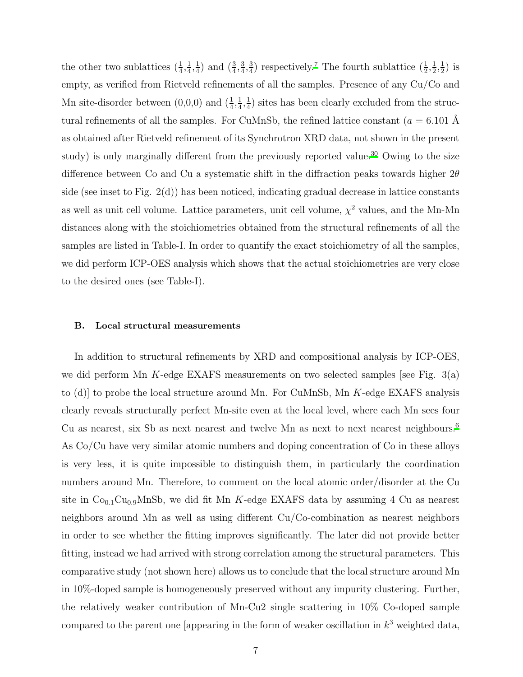the other two sublattices  $(\frac{1}{4}, \frac{1}{4})$  $\frac{1}{4}, \frac{1}{4}$  $\frac{1}{4}$ ) and  $\left(\frac{3}{4}, \frac{3}{4}\right)$  $\frac{3}{4}, \frac{3}{4}$  $\frac{3}{4}$ ) respectively.<sup>[7](#page-15-3)</sup> The fourth sublattice  $(\frac{1}{2}, \frac{1}{2})$  $\frac{1}{2}, \frac{1}{2}$  $(\frac{1}{2})$  is empty, as verified from Rietveld refinements of all the samples. Presence of any Cu/Co and Mn site-disorder between  $(0,0,0)$  and  $(\frac{1}{4}, \frac{1}{4})$  $\frac{1}{4}, \frac{1}{4}$  $\frac{1}{4}$ ) sites has been clearly excluded from the structural refinements of all the samples. For CuMnSb, the refined lattice constant  $(a = 6.101 \text{ Å})$ as obtained after Rietveld refinement of its Synchrotron XRD data, not shown in the present study) is only marginally different from the previously reported value.<sup>[30](#page-17-2)</sup> Owing to the size difference between Co and Cu a systematic shift in the diffraction peaks towards higher  $2\theta$ side (see inset to Fig. 2(d)) has been noticed, indicating gradual decrease in lattice constants as well as unit cell volume. Lattice parameters, unit cell volume,  $\chi^2$  values, and the Mn-Mn distances along with the stoichiometries obtained from the structural refinements of all the samples are listed in Table-I. In order to quantify the exact stoichiometry of all the samples, we did perform ICP-OES analysis which shows that the actual stoichiometries are very close to the desired ones (see Table-I).

#### B. Local structural measurements

In addition to structural refinements by XRD and compositional analysis by ICP-OES, we did perform Mn K-edge EXAFS measurements on two selected samples [see Fig.  $3(a)$ ] to  $(d)$  to probe the local structure around Mn. For CuMnSb, Mn K-edge EXAFS analysis clearly reveals structurally perfect Mn-site even at the local level, where each Mn sees four Cu as nearest, six Sb as next nearest and twelve Mn as next to next nearest neighbours[.](#page-15-9)<sup>6</sup> As Co/Cu have very similar atomic numbers and doping concentration of Co in these alloys is very less, it is quite impossible to distinguish them, in particularly the coordination numbers around Mn. Therefore, to comment on the local atomic order/disorder at the Cu site in  $Co<sub>0.1</sub>Cu<sub>0.9</sub>MnSb$ , we did fit Mn K-edge EXAFS data by assuming 4 Cu as nearest neighbors around Mn as well as using different Cu/Co-combination as nearest neighbors in order to see whether the fitting improves significantly. The later did not provide better fitting, instead we had arrived with strong correlation among the structural parameters. This comparative study (not shown here) allows us to conclude that the local structure around Mn in 10%-doped sample is homogeneously preserved without any impurity clustering. Further, the relatively weaker contribution of Mn-Cu2 single scattering in 10% Co-doped sample compared to the parent one [appearing in the form of weaker oscillation in  $k^3$  weighted data,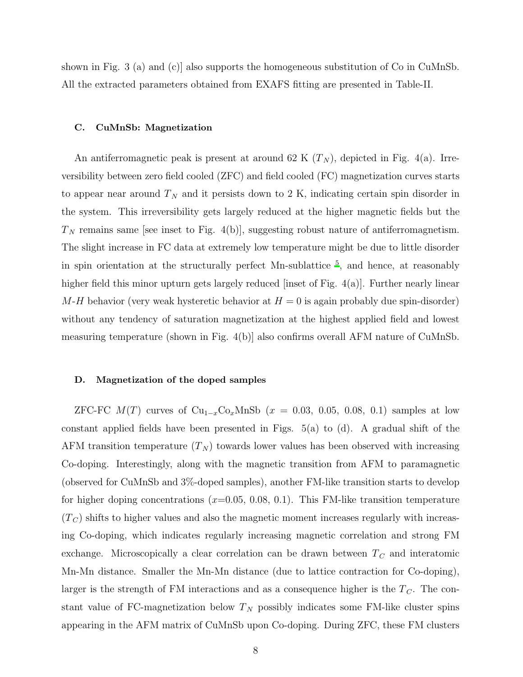shown in Fig. 3 (a) and (c)] also supports the homogeneous substitution of Co in CuMnSb. All the extracted parameters obtained from EXAFS fitting are presented in Table-II.

#### C. CuMnSb: Magnetization

An antiferromagnetic peak is present at around 62 K  $(T_N)$ , depicted in Fig. 4(a). Irreversibility between zero field cooled (ZFC) and field cooled (FC) magnetization curves starts to appear near around  $T_N$  and it persists down to 2 K, indicating certain spin disorder in the system. This irreversibility gets largely reduced at the higher magnetic fields but the  $T_N$  remains same [see inset to Fig. 4(b)], suggesting robust nature of antiferromagnetism. The slight increase in FC data at extremely low temperature might be due to little disorder in spin orientation at the structurally perfect Mn-sublattice [5](#page-15-8) , and hence, at reasonably higher field this minor upturn gets largely reduced [inset of Fig. 4(a)]. Further nearly linear  $M-H$  behavior (very weak hysteretic behavior at  $H=0$  is again probably due spin-disorder) without any tendency of saturation magnetization at the highest applied field and lowest measuring temperature (shown in Fig. 4(b)] also confirms overall AFM nature of CuMnSb.

# D. Magnetization of the doped samples

ZFC-FC  $M(T)$  curves of  $Cu_{1-x}Co_xMnSb$  ( $x = 0.03, 0.05, 0.08, 0.1$ ) samples at low constant applied fields have been presented in Figs. 5(a) to (d). A gradual shift of the AFM transition temperature  $(T_N)$  towards lower values has been observed with increasing Co-doping. Interestingly, along with the magnetic transition from AFM to paramagnetic (observed for CuMnSb and 3%-doped samples), another FM-like transition starts to develop for higher doping concentrations  $(x=0.05, 0.08, 0.1)$ . This FM-like transition temperature  $(T_C)$  shifts to higher values and also the magnetic moment increases regularly with increasing Co-doping, which indicates regularly increasing magnetic correlation and strong FM exchange. Microscopically a clear correlation can be drawn between  $T_C$  and interatomic Mn-Mn distance. Smaller the Mn-Mn distance (due to lattice contraction for Co-doping), larger is the strength of FM interactions and as a consequence higher is the  $T_c$ . The constant value of FC-magnetization below  $T_N$  possibly indicates some FM-like cluster spins appearing in the AFM matrix of CuMnSb upon Co-doping. During ZFC, these FM clusters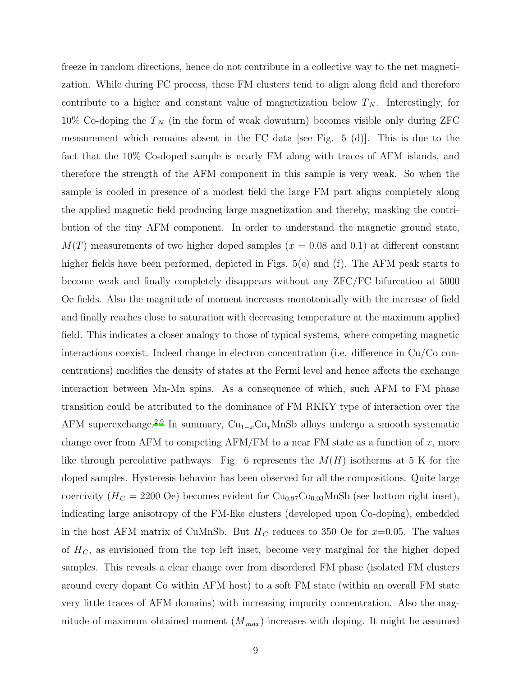freeze in random directions, hence do not contribute in a collective way to the net magnetization. While during FC process, these FM clusters tend to align along field and therefore contribute to a higher and constant value of magnetization below  $T_N$ . Interestingly, for 10% Co-doping the  $T_N$  (in the form of weak downturn) becomes visible only during ZFC measurement which remains absent in the FC data [see Fig. 5 (d)]. This is due to the fact that the 10% Co-doped sample is nearly FM along with traces of AFM islands, and therefore the strength of the AFM component in this sample is very weak. So when the sample is cooled in presence of a modest field the large FM part aligns completely along the applied magnetic field producing large magnetization and thereby, masking the contribution of the tiny AFM component. In order to understand the magnetic ground state,  $M(T)$  measurements of two higher doped samples ( $x = 0.08$  and 0.1) at different constant higher fields have been performed, depicted in Figs. 5(e) and (f). The AFM peak starts to become weak and finally completely disappears without any ZFC/FC bifurcation at 5000 Oe fields. Also the magnitude of moment increases monotonically with the increase of field and finally reaches close to saturation with decreasing temperature at the maximum applied field. This indicates a closer analogy to those of typical systems, where competing magnetic interactions coexist. Indeed change in electron concentration (i.e. difference in Cu/Co concentrations) modifies the density of states at the Fermi level and hence affects the exchange interaction between Mn-Mn spins. As a consequence of which, such AFM to FM phase transition could be attributed to the dominance of FM RKKY type of interaction over the AFM superexchange.<sup>[2](#page-15-7)[,9](#page-15-5)</sup> In summary,  $\text{Cu}_{1-x}\text{Co}_x\text{MnSb}$  alloys undergo a smooth systematic change over from AFM to competing AFM/FM to a near FM state as a function of  $x$ , more like through percolative pathways. Fig. 6 represents the  $M(H)$  isotherms at 5 K for the doped samples. Hysteresis behavior has been observed for all the compositions. Quite large coercivity ( $H_C = 2200$  Oe) becomes evident for  $Cu_{0.97}Co_{0.03}MnSb$  (see bottom right inset), indicating large anisotropy of the FM-like clusters (developed upon Co-doping), embedded in the host AFM matrix of CuMnSb. But  $H_C$  reduces to 350 Oe for  $x=0.05$ . The values of  $H_C$ , as envisioned from the top left inset, become very marginal for the higher doped samples. This reveals a clear change over from disordered FM phase (isolated FM clusters around every dopant Co within AFM host) to a soft FM state (within an overall FM state very little traces of AFM domains) with increasing impurity concentration. Also the magnitude of maximum obtained moment  $(M_{max})$  increases with doping. It might be assumed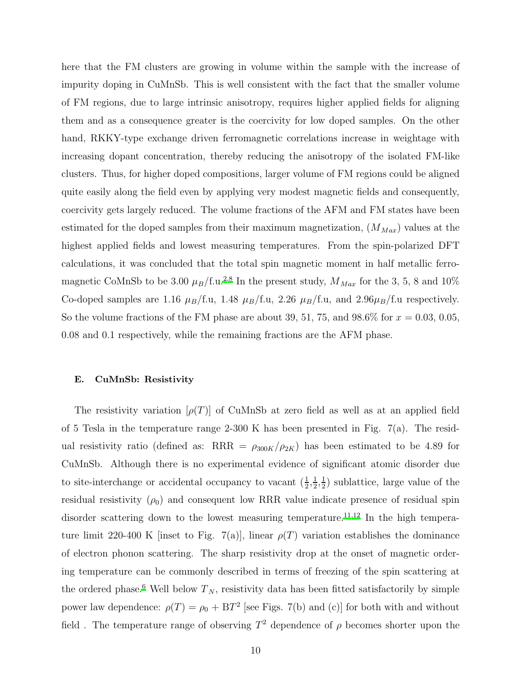here that the FM clusters are growing in volume within the sample with the increase of impurity doping in CuMnSb. This is well consistent with the fact that the smaller volume of FM regions, due to large intrinsic anisotropy, requires higher applied fields for aligning them and as a consequence greater is the coercivity for low doped samples. On the other hand, RKKY-type exchange driven ferromagnetic correlations increase in weightage with increasing dopant concentration, thereby reducing the anisotropy of the isolated FM-like clusters. Thus, for higher doped compositions, larger volume of FM regions could be aligned quite easily along the field even by applying very modest magnetic fields and consequently, coercivity gets largely reduced. The volume fractions of the AFM and FM states have been estimated for the doped samples from their maximum magnetization,  $(M_{Max})$  values at the highest applied fields and lowest measuring temperatures. From the spin-polarized DFT calculations, it was concluded that the total spin magnetic moment in half metallic ferromagnetic CoMnSb to be 3.00  $\mu_B/f.u.^{2,8}$  $\mu_B/f.u.^{2,8}$  $\mu_B/f.u.^{2,8}$  $\mu_B/f.u.^{2,8}$  In the present study,  $M_{Max}$  for the 3, 5, 8 and 10% Co-doped samples are 1.16  $\mu_B/\text{f.u},$  1.48  $\mu_B/\text{f.u},$  2.26  $\mu_B/\text{f.u},$  and 2.96 $\mu_B/\text{f.u}$  respectively. So the volume fractions of the FM phase are about 39, 51, 75, and  $98.6\%$  for  $x = 0.03, 0.05$ , 0.08 and 0.1 respectively, while the remaining fractions are the AFM phase.

# E. CuMnSb: Resistivity

The resistivity variation  $[\rho(T)]$  of CuMnSb at zero field as well as at an applied field of 5 Tesla in the temperature range 2-300 K has been presented in Fig. 7(a). The residual resistivity ratio (defined as: RRR =  $\rho_{300K}/\rho_{2K}$ ) has been estimated to be 4.89 for CuMnSb. Although there is no experimental evidence of significant atomic disorder due to site-interchange or accidental occupancy to vacant  $(\frac{1}{2}, \frac{1}{2})$  $\frac{1}{2}, \frac{1}{2}$  $(\frac{1}{2})$  sublattice, large value of the residual resistivity  $(\rho_0)$  and consequent low RRR value indicate presence of residual spin disorder scattering down to the lowest measuring temperature.<sup>[11](#page-16-0)[,12](#page-16-1)</sup> In the high temperature limit 220-400 K [inset to Fig. 7(a)], linear  $\rho(T)$  variation establishes the dominance of electron phonon scattering. The sharp resistivity drop at the onset of magnetic ordering temperature can be commonly described in terms of freezing of the spin scattering at the ordered phase.<sup>[6](#page-15-9)</sup> Well below  $T_N$ , resistivity data has been fitted satisfactorily by simple power law dependence:  $\rho(T) = \rho_0 + BT^2$  [see Figs. 7(b) and (c)] for both with and without field. The temperature range of observing  $T^2$  dependence of  $\rho$  becomes shorter upon the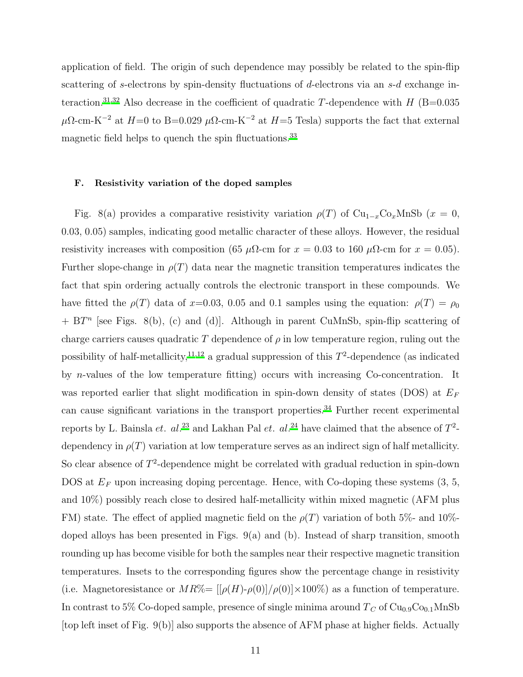application of field. The origin of such dependence may possibly be related to the spin-flip scattering of s-electrons by spin-density fluctuations of d-electrons via an s-d exchange in-teraction.<sup>[31](#page-17-3)[,32](#page-17-4)</sup> Also decrease in the coefficient of quadratic T-dependence with  $H$  (B=0.035  $\mu\Omega$ -cm-K<sup>-2</sup> at  $H=0$  to B=0.029  $\mu\Omega$ -cm-K<sup>-2</sup> at  $H=5$  Tesla) supports the fact that external magnetic field helps to quench the spin fluctuations.<sup>[33](#page-17-5)</sup>

# F. Resistivity variation of the doped samples

Fig. 8(a) provides a comparative resistivity variation  $\rho(T)$  of Cu<sub>1−x</sub>Co<sub>x</sub>MnSb (x = 0, 0.03, 0.05) samples, indicating good metallic character of these alloys. However, the residual resistivity increases with composition (65  $\mu\Omega$ -cm for  $x = 0.03$  to 160  $\mu\Omega$ -cm for  $x = 0.05$ ). Further slope-change in  $\rho(T)$  data near the magnetic transition temperatures indicates the fact that spin ordering actually controls the electronic transport in these compounds. We have fitted the  $\rho(T)$  data of x=0.03, 0.05 and 0.1 samples using the equation:  $\rho(T) = \rho_0$  $+ B T<sup>n</sup>$  [see Figs. 8(b), (c) and (d)]. Although in parent CuMnSb, spin-flip scattering of charge carriers causes quadratic T dependence of  $\rho$  in low temperature region, ruling out the possibility of half-metallicity,<sup>[11](#page-16-0)[,12](#page-16-1)</sup> a gradual suppression of this  $T^2$ -dependence (as indicated by n-values of the low temperature fitting) occurs with increasing Co-concentration. It was reported earlier that slight modification in spin-down density of states (DOS) at  $E_F$ can cause significant variations in the transport properties.<sup>[34](#page-17-6)</sup> Further recent experimental reports by L. Bainsla *et.*  $al.^{23}$  $al.^{23}$  $al.^{23}$  and Lakhan Pal *et.*  $al.^{24}$  $al.^{24}$  $al.^{24}$  have claimed that the absence of  $T^2$ dependency in  $\rho(T)$  variation at low temperature serves as an indirect sign of half metallicity. So clear absence of  $T^2$ -dependence might be correlated with gradual reduction in spin-down DOS at  $E_F$  upon increasing doping percentage. Hence, with Co-doping these systems  $(3, 5, 5)$ and 10%) possibly reach close to desired half-metallicity within mixed magnetic (AFM plus FM) state. The effect of applied magnetic field on the  $\rho(T)$  variation of both 5%- and 10%doped alloys has been presented in Figs. 9(a) and (b). Instead of sharp transition, smooth rounding up has become visible for both the samples near their respective magnetic transition temperatures. Insets to the corresponding figures show the percentage change in resistivity (i.e. Magnetoresistance or  $MR\% = \frac{\left[\rho(H) - \rho(0)\right]}{\rho(0)} \times 100\%$ ) as a function of temperature. In contrast to 5% Co-doped sample, presence of single minima around  $T_C$  of  $Cu<sub>0.9</sub>Co<sub>0.1</sub>MnSb$ [top left inset of Fig. 9(b)] also supports the absence of AFM phase at higher fields. Actually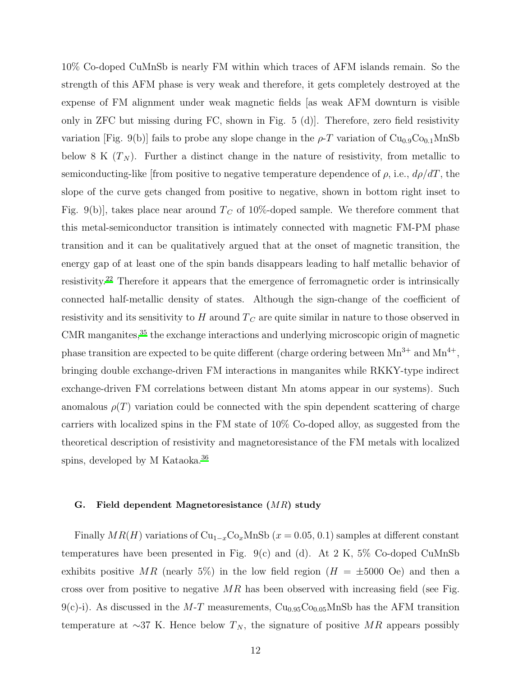10% Co-doped CuMnSb is nearly FM within which traces of AFM islands remain. So the strength of this AFM phase is very weak and therefore, it gets completely destroyed at the expense of FM alignment under weak magnetic fields [as weak AFM downturn is visible only in ZFC but missing during FC, shown in Fig. 5 (d)]. Therefore, zero field resistivity variation [Fig. 9(b)] fails to probe any slope change in the  $\rho$ -T variation of Cu<sub>0.9</sub>Co<sub>0.1</sub>MnSb below 8 K  $(T_N)$ . Further a distinct change in the nature of resistivity, from metallic to semiconducting-like [from positive to negative temperature dependence of  $\rho$ , i.e.,  $d\rho/dT$ , the slope of the curve gets changed from positive to negative, shown in bottom right inset to Fig. 9(b)], takes place near around  $T_C$  of 10%-doped sample. We therefore comment that this metal-semiconductor transition is intimately connected with magnetic FM-PM phase transition and it can be qualitatively argued that at the onset of magnetic transition, the energy gap of at least one of the spin bands disappears leading to half metallic behavior of resistivity.[22](#page-16-11) Therefore it appears that the emergence of ferromagnetic order is intrinsically connected half-metallic density of states. Although the sign-change of the coefficient of resistivity and its sensitivity to  $H$  around  $T_C$  are quite similar in nature to those observed in  $\rm CMR$  manganites,  $^{35}$  $^{35}$  $^{35}$  the exchange interactions and underlying microscopic origin of magnetic phase transition are expected to be quite different (charge ordering between  $Mn^{3+}$  and  $Mn^{4+}$ , bringing double exchange-driven FM interactions in manganites while RKKY-type indirect exchange-driven FM correlations between distant Mn atoms appear in our systems). Such anomalous  $\rho(T)$  variation could be connected with the spin dependent scattering of charge carriers with localized spins in the FM state of 10% Co-doped alloy, as suggested from the theoretical description of resistivity and magnetoresistance of the FM metals with localized spins, developed by M Kataoka.<sup>[36](#page-17-8)</sup>

#### G. Field dependent Magnetoresistance (MR) study

Finally  $MR(H)$  variations of  $Cu_{1-x}Co_xMnSb$  ( $x = 0.05, 0.1$ ) samples at different constant temperatures have been presented in Fig. 9(c) and (d). At 2 K,  $5\%$  Co-doped CuMnSb exhibits positive MR (nearly 5%) in the low field region ( $H = \pm 5000$  Oe) and then a cross over from positive to negative  $MR$  has been observed with increasing field (see Fig. 9(c)-i). As discussed in the M-T measurements,  $Cu<sub>0.95</sub>Co<sub>0.05</sub>MnSb$  has the AFM transition temperature at ∼37 K. Hence below  $T_N$ , the signature of positive MR appears possibly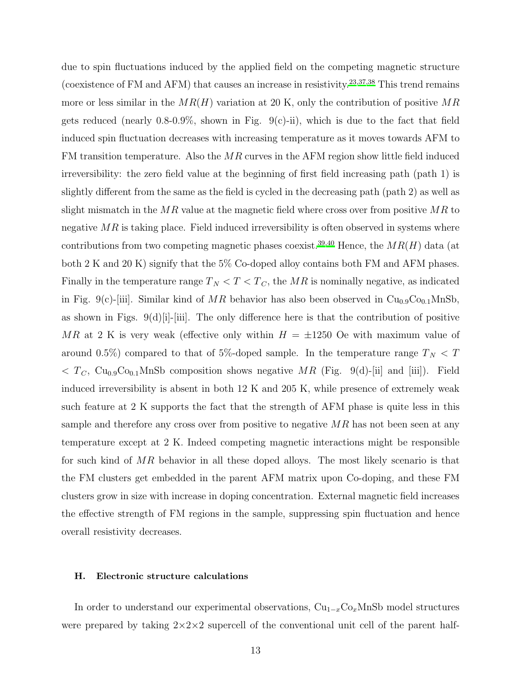due to spin fluctuations induced by the applied field on the competing magnetic structure (coexistence of FM and AFM) that causes an increase in resistivity.<sup>[23](#page-16-15)[,37](#page-17-9)[,38](#page-17-10)</sup> This trend remains more or less similar in the  $MR(H)$  variation at 20 K, only the contribution of positive  $MR$ gets reduced (nearly 0.8-0.9%, shown in Fig. 9(c)-ii), which is due to the fact that field induced spin fluctuation decreases with increasing temperature as it moves towards AFM to FM transition temperature. Also the MR curves in the AFM region show little field induced irreversibility: the zero field value at the beginning of first field increasing path (path 1) is slightly different from the same as the field is cycled in the decreasing path (path 2) as well as slight mismatch in the  $MR$  value at the magnetic field where cross over from positive  $MR$  to negative  $MR$  is taking place. Field induced irreversibility is often observed in systems where contributions from two competing magnetic phases coexist.<sup>[39](#page-17-11)[,40](#page-17-12)</sup> Hence, the  $MR(H)$  data (at both 2 K and 20 K) signify that the 5% Co-doped alloy contains both FM and AFM phases. Finally in the temperature range  $T_N < T < T_C$ , the MR is nominally negative, as indicated in Fig. 9(c)-[iii]. Similar kind of MR behavior has also been observed in  $Cu<sub>0.9</sub>Co<sub>0.1</sub>MnSb$ , as shown in Figs. 9(d)[i]-[iii]. The only difference here is that the contribution of positive MR at 2 K is very weak (effective only within  $H = \pm 1250$  Oe with maximum value of around 0.5%) compared to that of 5%-doped sample. In the temperature range  $T_N < T$  $T_c$ , Cu<sub>0.9</sub>C<sub>00.1</sub>MnSb composition shows negative MR (Fig. 9(d)-[ii] and [iii]). Field induced irreversibility is absent in both 12 K and 205 K, while presence of extremely weak such feature at 2 K supports the fact that the strength of AFM phase is quite less in this sample and therefore any cross over from positive to negative  $MR$  has not been seen at any temperature except at 2 K. Indeed competing magnetic interactions might be responsible for such kind of MR behavior in all these doped alloys. The most likely scenario is that the FM clusters get embedded in the parent AFM matrix upon Co-doping, and these FM clusters grow in size with increase in doping concentration. External magnetic field increases the effective strength of FM regions in the sample, suppressing spin fluctuation and hence overall resistivity decreases.

## H. Electronic structure calculations

In order to understand our experimental observations,  $Cu_{1-x}Co_xMnSb$  model structures were prepared by taking  $2 \times 2 \times 2$  supercell of the conventional unit cell of the parent half-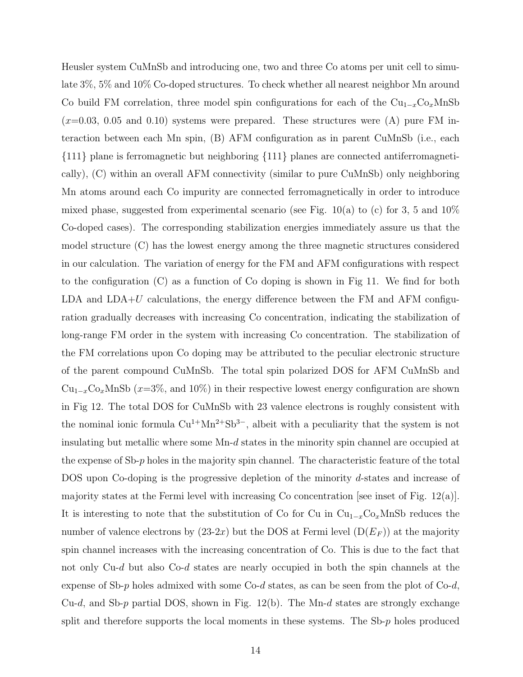Heusler system CuMnSb and introducing one, two and three Co atoms per unit cell to simulate 3%, 5% and 10% Co-doped structures. To check whether all nearest neighbor Mn around Co build FM correlation, three model spin configurations for each of the  $Cu_{1-x}Co_xMnSb$  $(x=0.03, 0.05, 0.05)$  and  $(0.10)$  systems were prepared. These structures were  $(A)$  pure FM interaction between each Mn spin, (B) AFM configuration as in parent CuMnSb (i.e., each {111} plane is ferromagnetic but neighboring {111} planes are connected antiferromagnetically), (C) within an overall AFM connectivity (similar to pure CuMnSb) only neighboring Mn atoms around each Co impurity are connected ferromagnetically in order to introduce mixed phase, suggested from experimental scenario (see Fig.  $10(a)$  to (c) for 3, 5 and  $10\%$ Co-doped cases). The corresponding stabilization energies immediately assure us that the model structure (C) has the lowest energy among the three magnetic structures considered in our calculation. The variation of energy for the FM and AFM configurations with respect to the configuration (C) as a function of Co doping is shown in Fig 11. We find for both LDA and  $LDA+U$  calculations, the energy difference between the FM and AFM configuration gradually decreases with increasing Co concentration, indicating the stabilization of long-range FM order in the system with increasing Co concentration. The stabilization of the FM correlations upon Co doping may be attributed to the peculiar electronic structure of the parent compound CuMnSb. The total spin polarized DOS for AFM CuMnSb and  $Cu_{1-x}Co_xMnSb$  ( $x=3\%$ , and 10%) in their respective lowest energy configuration are shown in Fig 12. The total DOS for CuMnSb with 23 valence electrons is roughly consistent with the nominal ionic formula  $Cu^{1+}Mn^{2+}Sb^{3-}$ , albeit with a peculiarity that the system is not insulating but metallic where some Mn-d states in the minority spin channel are occupied at the expense of  $Sb-p$  holes in the majority spin channel. The characteristic feature of the total DOS upon Co-doping is the progressive depletion of the minority d-states and increase of majority states at the Fermi level with increasing Co concentration see inset of Fig.  $12(a)$ . It is interesting to note that the substitution of Co for Cu in  $Cu_{1-x}Co_xMnSb$  reduces the number of valence electrons by  $(23-2x)$  but the DOS at Fermi level  $(D(E_F))$  at the majority spin channel increases with the increasing concentration of Co. This is due to the fact that not only Cu-d but also Co-d states are nearly occupied in both the spin channels at the expense of Sb-p holes admixed with some  $Co-d$  states, as can be seen from the plot of  $Co-d$ , Cu-d, and Sb-p partial DOS, shown in Fig. 12(b). The Mn-d states are strongly exchange split and therefore supports the local moments in these systems. The Sb-p holes produced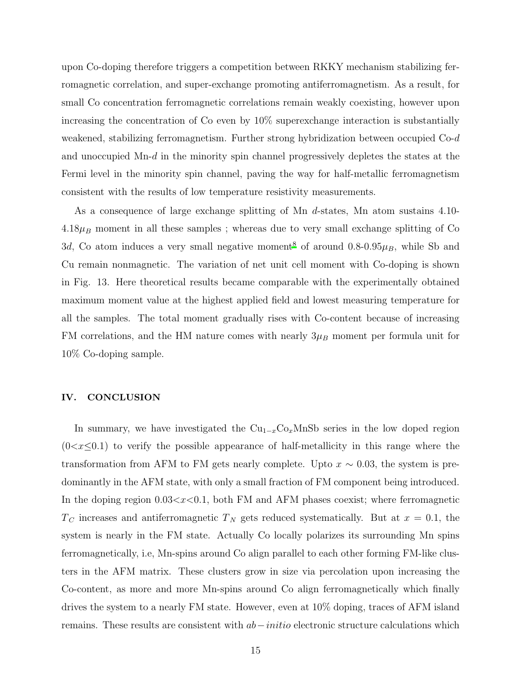upon Co-doping therefore triggers a competition between RKKY mechanism stabilizing ferromagnetic correlation, and super-exchange promoting antiferromagnetism. As a result, for small Co concentration ferromagnetic correlations remain weakly coexisting, however upon increasing the concentration of Co even by 10% superexchange interaction is substantially weakened, stabilizing ferromagnetism. Further strong hybridization between occupied Co-d and unoccupied Mn-d in the minority spin channel progressively depletes the states at the Fermi level in the minority spin channel, paving the way for half-metallic ferromagnetism consistent with the results of low temperature resistivity measurements.

As a consequence of large exchange splitting of Mn d-states, Mn atom sustains 4.10- $4.18\mu$ B moment in all these samples; whereas due to very small exchange splitting of Co 3d, Co atom induces a very small negative moment<sup>[8](#page-15-4)</sup> of around 0.8-0.95 $\mu$ <sub>B</sub>, while Sb and Cu remain nonmagnetic. The variation of net unit cell moment with Co-doping is shown in Fig. 13. Here theoretical results became comparable with the experimentally obtained maximum moment value at the highest applied field and lowest measuring temperature for all the samples. The total moment gradually rises with Co-content because of increasing FM correlations, and the HM nature comes with nearly  $3\mu_B$  moment per formula unit for 10% Co-doping sample.

# IV. CONCLUSION

In summary, we have investigated the  $\text{Cu}_{1-x}\text{Co}_x\text{MnSb}$  series in the low doped region  $(0 < x \leq 0.1)$  to verify the possible appearance of half-metallicity in this range where the transformation from AFM to FM gets nearly complete. Upto  $x \sim 0.03$ , the system is predominantly in the AFM state, with only a small fraction of FM component being introduced. In the doping region  $0.03 < x < 0.1$ , both FM and AFM phases coexist; where ferromagnetic  $T_C$  increases and antiferromagnetic  $T_N$  gets reduced systematically. But at  $x = 0.1$ , the system is nearly in the FM state. Actually Co locally polarizes its surrounding Mn spins ferromagnetically, i.e, Mn-spins around Co align parallel to each other forming FM-like clusters in the AFM matrix. These clusters grow in size via percolation upon increasing the Co-content, as more and more Mn-spins around Co align ferromagnetically which finally drives the system to a nearly FM state. However, even at 10% doping, traces of AFM island remains. These results are consistent with  $ab – initio$  electronic structure calculations which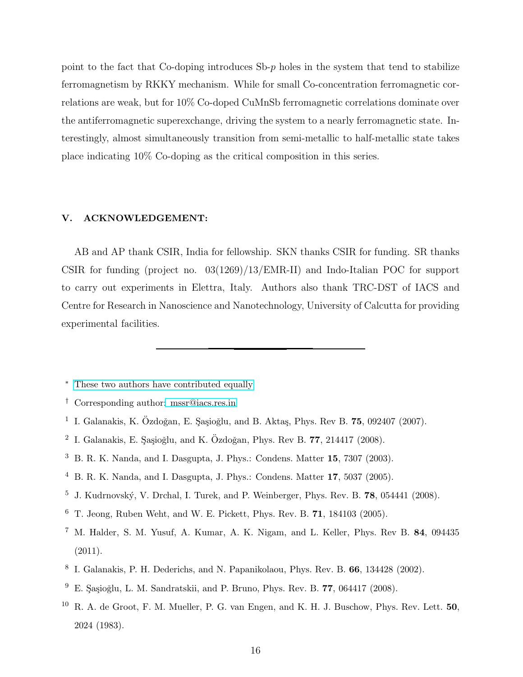point to the fact that Co-doping introduces Sb-p holes in the system that tend to stabilize ferromagnetism by RKKY mechanism. While for small Co-concentration ferromagnetic correlations are weak, but for 10% Co-doped CuMnSb ferromagnetic correlations dominate over the antiferromagnetic superexchange, driving the system to a nearly ferromagnetic state. Interestingly, almost simultaneously transition from semi-metallic to half-metallic state takes place indicating 10% Co-doping as the critical composition in this series.

# V. ACKNOWLEDGEMENT:

AB and AP thank CSIR, India for fellowship. SKN thanks CSIR for funding. SR thanks CSIR for funding (project no. 03(1269)/13/EMR-II) and Indo-Italian POC for support to carry out experiments in Elettra, Italy. Authors also thank TRC-DST of IACS and Centre for Research in Nanoscience and Nanotechnology, University of Calcutta for providing experimental facilities.

- <sup>∗</sup> [These two authors have contributed equally](mailto:These two authors have contributed equally)
- <span id="page-15-1"></span><span id="page-15-0"></span>† Corresponding author[: mssr@iacs.res.in](mailto: mssr@iacs.res.in)
- <span id="page-15-2"></span><sup>1</sup> I. Galanakis, K. Özdoğan, E. Şaşioğlu, and B. Aktaş, Phys. Rev B.  $75$ , 092407 (2007).
- <span id="page-15-7"></span> $^2$  I. Galanakis, E. Şaşioğlu, and K. Özdoğan, Phys. Rev B. 77, 214417 (2008).
- $3\,$  B. R. K. Nanda, and I. Dasgupta, J. Phys.: Condens. Matter 15, 7307 (2003).
- $4$  B. R. K. Nanda, and I. Dasgupta, J. Phys.: Condens. Matter 17, 5037 (2005).
- <span id="page-15-8"></span> $^5$  J. Kudrnovský, V. Drchal, I. Turek, and P. Weinberger, Phys. Rev. B. 78, 054441 (2008).
- <span id="page-15-9"></span><sup>6</sup> T. Jeong, Ruben Weht, and W. E. Pickett, Phys. Rev. B. 71, 184103 (2005).
- <span id="page-15-3"></span><sup>7</sup> M. Halder, S. M. Yusuf, A. Kumar, A. K. Nigam, and L. Keller, Phys. Rev B. 84, 094435 (2011).
- <span id="page-15-4"></span>8 I. Galanakis, P. H. Dederichs, and N. Papanikolaou, Phys. Rev. B. 66, 134428 (2002).
- <span id="page-15-5"></span> $9\,$  E. Sasioğlu, L. M. Sandratskii, and P. Bruno, Phys. Rev. B. 77, 064417 (2008).
- <span id="page-15-6"></span><sup>10</sup> R. A. de Groot, F. M. Mueller, P. G. van Engen, and K. H. J. Buschow, Phys. Rev. Lett. 50, 2024 (1983).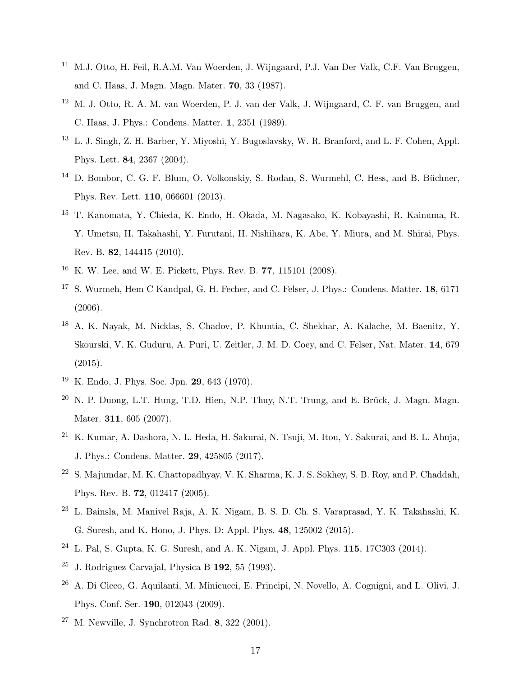- <span id="page-16-0"></span><sup>11</sup> M.J. Otto, H. Feil, R.A.M. Van Woerden, J. Wijngaard, P.J. Van Der Valk, C.F. Van Bruggen, and C. Haas, J. Magn. Magn. Mater. 70, 33 (1987).
- <span id="page-16-1"></span><sup>12</sup> M. J. Otto, R. A. M. van Woerden, P. J. van der Valk, J. Wijngaard, C. F. van Bruggen, and C. Haas, J. Phys.: Condens. Matter. 1, 2351 (1989).
- <span id="page-16-2"></span><sup>13</sup> L. J. Singh, Z. H. Barber, Y. Miyoshi, Y. Bugoslavsky, W. R. Branford, and L. F. Cohen, Appl. Phys. Lett. 84, 2367 (2004).
- <span id="page-16-3"></span><sup>14</sup> D. Bombor, C. G. F. Blum, O. Volkonskiy, S. Rodan, S. Wurmehl, C. Hess, and B. Büchner, Phys. Rev. Lett. 110, 066601 (2013).
- <span id="page-16-4"></span><sup>15</sup> T. Kanomata, Y. Chieda, K. Endo, H. Okada, M. Nagasako, K. Kobayashi, R. Kainuma, R. Y. Umetsu, H. Takahashi, Y. Furutani, H. Nishihara, K. Abe, Y. Miura, and M. Shirai, Phys. Rev. B. 82, 144415 (2010).
- <span id="page-16-5"></span><sup>16</sup> K. W. Lee, and W. E. Pickett, Phys. Rev. B. 77, 115101 (2008).
- <span id="page-16-6"></span><sup>17</sup> S. Wurmeh, Hem C Kandpal, G. H. Fecher, and C. Felser, J. Phys.: Condens. Matter. **18**, 6171 (2006).
- <span id="page-16-7"></span><sup>18</sup> A. K. Nayak, M. Nicklas, S. Chadov, P. Khuntia, C. Shekhar, A. Kalache, M. Baenitz, Y. Skourski, V. K. Guduru, A. Puri, U. Zeitler, J. M. D. Coey, and C. Felser, Nat. Mater. 14, 679 (2015).
- <span id="page-16-8"></span><sup>19</sup> K. Endo, J. Phys. Soc. Jpn. 29, 643 (1970).
- <span id="page-16-9"></span> $20$  N. P. Duong, L.T. Hung, T.D. Hien, N.P. Thuy, N.T. Trung, and E. Brück, J. Magn. Magn. Mater. 311, 605 (2007).
- <span id="page-16-10"></span><sup>21</sup> K. Kumar, A. Dashora, N. L. Heda, H. Sakurai, N. Tsuji, M. Itou, Y. Sakurai, and B. L. Ahuja, J. Phys.: Condens. Matter. 29, 425805 (2017).
- <span id="page-16-11"></span><sup>22</sup> S. Majumdar, M. K. Chattopadhyay, V. K. Sharma, K. J. S. Sokhey, S. B. Roy, and P. Chaddah, Phys. Rev. B. 72, 012417 (2005).
- <span id="page-16-15"></span><sup>23</sup> L. Bainsla, M. Manivel Raja, A. K. Nigam, B. S. D. Ch. S. Varaprasad, Y. K. Takahashi, K. G. Suresh, and K. Hono, J. Phys. D: Appl. Phys. 48, 125002 (2015).
- <span id="page-16-12"></span><sup>24</sup> L. Pal, S. Gupta, K. G. Suresh, and A. K. Nigam, J. Appl. Phys. **115**,  $17C303$  (2014).
- <span id="page-16-13"></span> $25$  J. Rodriguez Carvajal, Physica B 192, 55 (1993).
- <sup>26</sup> A. Di Cicco, G. Aquilanti, M. Minicucci, E. Principi, N. Novello, A. Cognigni, and L. Olivi, J. Phys. Conf. Ser. 190, 012043 (2009).
- <span id="page-16-14"></span> $27$  M. Newville, J. Synchrotron Rad. 8, 322 (2001).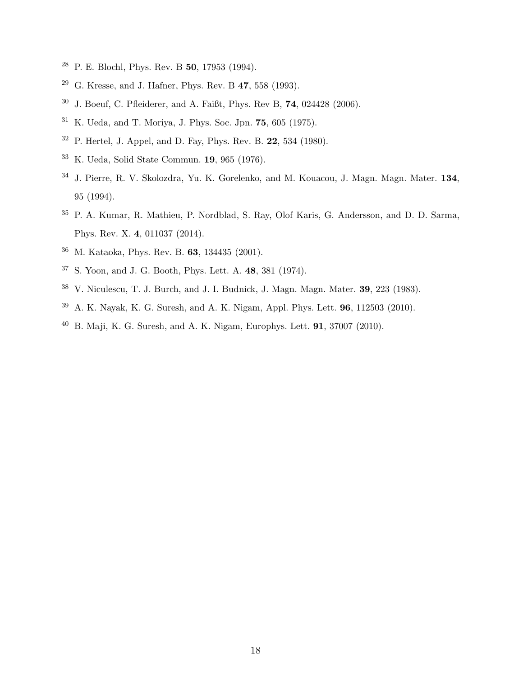- <span id="page-17-0"></span>P. E. Blochl, Phys. Rev. B 50, 17953 (1994).
- <span id="page-17-1"></span>G. Kresse, and J. Hafner, Phys. Rev. B 47, 558 (1993).
- <span id="page-17-2"></span>J. Boeuf, C. Pfleiderer, and A. Faißt, Phys. Rev B, 74, 024428 (2006).
- <span id="page-17-3"></span>K. Ueda, and T. Moriya, J. Phys. Soc. Jpn. 75, 605 (1975).
- <span id="page-17-4"></span>P. Hertel, J. Appel, and D. Fay, Phys. Rev. B. 22, 534 (1980).
- <span id="page-17-5"></span>K. Ueda, Solid State Commun. 19, 965 (1976).
- <span id="page-17-6"></span> J. Pierre, R. V. Skolozdra, Yu. K. Gorelenko, and M. Kouacou, J. Magn. Magn. Mater. 134, 95 (1994).
- <span id="page-17-7"></span> P. A. Kumar, R. Mathieu, P. Nordblad, S. Ray, Olof Karis, G. Andersson, and D. D. Sarma, Phys. Rev. X. 4, 011037 (2014).
- <span id="page-17-8"></span>M. Kataoka, Phys. Rev. B. 63, 134435 (2001).
- <span id="page-17-9"></span>S. Yoon, and J. G. Booth, Phys. Lett. A. 48, 381 (1974).
- <span id="page-17-10"></span>V. Niculescu, T. J. Burch, and J. I. Budnick, J. Magn. Magn. Mater. 39, 223 (1983).
- <span id="page-17-11"></span>A. K. Nayak, K. G. Suresh, and A. K. Nigam, Appl. Phys. Lett. 96, 112503 (2010).
- <span id="page-17-12"></span> $^{40}$  B. Maji, K. G. Suresh, and A. K. Nigam, Europhys. Lett. **91**, 37007 (2010).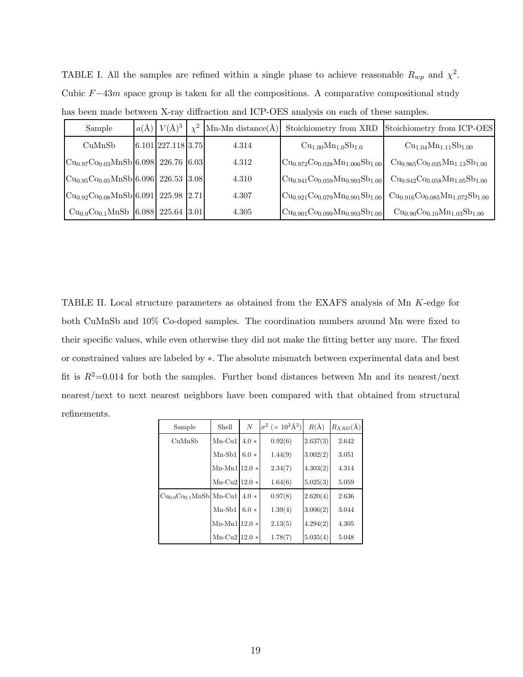| has been made between X-ray diffraction and ICP-OES analysis on each of these samples. |  |                                   |          |                        |                                                                               |                                                   |  |  |  |  |  |
|----------------------------------------------------------------------------------------|--|-----------------------------------|----------|------------------------|-------------------------------------------------------------------------------|---------------------------------------------------|--|--|--|--|--|
| Sample                                                                                 |  | $a(\text{\AA})$ $V(\text{\AA})^3$ | $\chi^2$ | Mn-Mn distance $(\AA)$ |                                                                               | Stoichiometry from XRD Stoichiometry from ICP-OES |  |  |  |  |  |
| CuMnSb                                                                                 |  | $6.101$ 227.118 3.75              |          | 4.314                  | $Cu1.00Mn1.0Sb1.0$                                                            | $Cu1.04Mn1.11Sb1.00$                              |  |  |  |  |  |
| $ Cu_{0.97}Co_{0.03}MnSb 6.098 $ 226.76 [6.03]                                         |  |                                   |          | 4.312                  | $\mathrm{Cu}_{0.972}\mathrm{Co}_{0.028}\mathrm{Mn}_{1.006}\mathrm{Sb}_{1.00}$ | $Cu0.965Co0.035Mn1.13Sb1.00$                      |  |  |  |  |  |
| $ Cu0.95C0.05MnSb 6.096 $ 226.53 3.08                                                  |  |                                   |          | 4.310                  | $ Cu0.941C0.059Mn0.993Sb1.00 $                                                | $Cu0.942Co0.058Mn1.05Sb1.00$                      |  |  |  |  |  |
| $ Cu0.92C0.08MnSb 6.091 $ 225.98 2.71                                                  |  |                                   |          | 4.307                  | $ Cu0.921C0.079Mn0.991Sb1.00 $                                                | $Cu0.916Co0.085Mn1.072Sb1.00$                     |  |  |  |  |  |
| $Cu0.9Co0.1MnSb$ 6.088 225.64 3.01                                                     |  |                                   |          | 4.305                  | $\text{Cu}_{0.901}\text{Co}_{0.099}\text{Mn}_{0.993}\text{Sb}_{1.00}$         | $Cu0.90Co0.10Mn1.03Sb1.00$                        |  |  |  |  |  |

TABLE I. All the samples are refined within a single phase to achieve reasonable  $R_{wp}$  and  $\chi^2$ . Cubic  $F-43m$  space group is taken for all the compositions. A comparative compositional study

TABLE II. Local structure parameters as obtained from the EXAFS analysis of Mn K-edge for both CuMnSb and 10% Co-doped samples. The coordination numbers around Mn were fixed to their specific values, while even otherwise they did not make the fitting better any more. The fixed or constrained values are labeled by ∗. The absolute mismatch between experimental data and best fit is  $R^2=0.014$  for both the samples. Further bond distances between Mn and its nearest/next nearest/next to next nearest neighbors have been compared with that obtained from structural refinements.

| Sample                  | Shell             | $\boldsymbol{N}$ | $\sigma^2$ ( $\times$ 10 <sup>2</sup> Å <sup>2</sup> ) | $R(\AA)$ | $R_{XRD}(\AA)$ |
|-------------------------|-------------------|------------------|--------------------------------------------------------|----------|----------------|
| CuMnSb                  | $Mn$ -Cu1         | $4.0*$           | 0.92(6)                                                | 2.637(3) | 2.642          |
|                         | $Mn-Sb1$          | $6.0*$           | 1.44(9)                                                | 3.002(2) | 3.051          |
|                         | $Mn-Mn1$ 12.0 $*$ |                  | 2.34(7)                                                | 4.303(2) | 4.314          |
|                         | Mn-Cu2 $12.0*$    |                  | 1.64(6)                                                | 5.025(3) | 5.059          |
| $Cu0.9Co0.1MnSb$ Mn-Cu1 |                   | $4.0*$           | 0.97(8)                                                | 2.620(4) | 2.636          |
|                         | $Mn-Sb1$          | $6.0*$           | 1.39(4)                                                | 3.006(2) | 3.044          |
|                         | $Mn-Mn1$ 12.0 $*$ |                  | 2.13(5)                                                | 4.294(2) | 4.305          |
|                         | $Mn-Cu2$ 12.0 $*$ |                  | 1.78(7)                                                | 5.035(4) | 5.048          |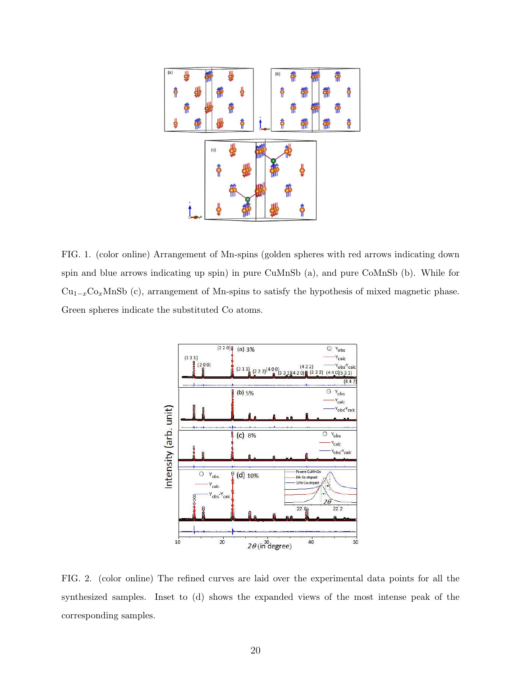

FIG. 1. (color online) Arrangement of Mn-spins (golden spheres with red arrows indicating down spin and blue arrows indicating up spin) in pure CuMnSb (a), and pure CoMnSb (b). While for  $Cu_{1-x}Co_xMnSb$  (c), arrangement of Mn-spins to satisfy the hypothesis of mixed magnetic phase. Green spheres indicate the substituted Co atoms.



FIG. 2. (color online) The refined curves are laid over the experimental data points for all the synthesized samples. Inset to (d) shows the expanded views of the most intense peak of the corresponding samples.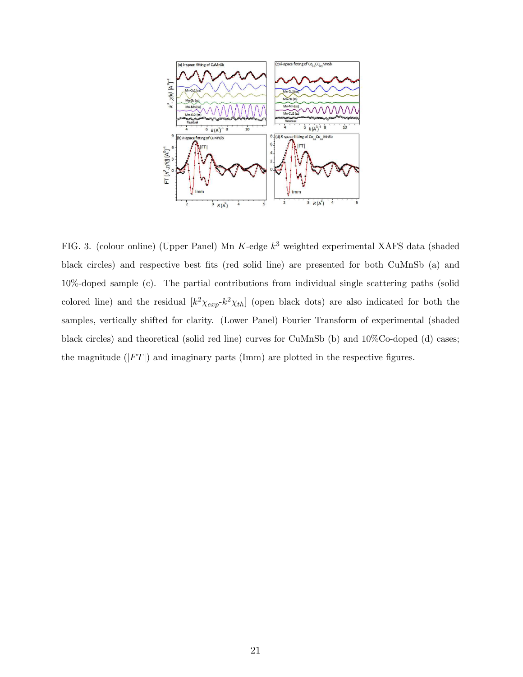

FIG. 3. (colour online) (Upper Panel) Mn K-edge  $k^3$  weighted experimental XAFS data (shaded black circles) and respective best fits (red solid line) are presented for both CuMnSb (a) and 10%-doped sample (c). The partial contributions from individual single scattering paths (solid colored line) and the residual  $[k^2 \chi_{exp} k^2 \chi_{th}]$  (open black dots) are also indicated for both the samples, vertically shifted for clarity. (Lower Panel) Fourier Transform of experimental (shaded black circles) and theoretical (solid red line) curves for CuMnSb (b) and 10%Co-doped (d) cases; the magnitude  $(|FT|)$  and imaginary parts (Imm) are plotted in the respective figures.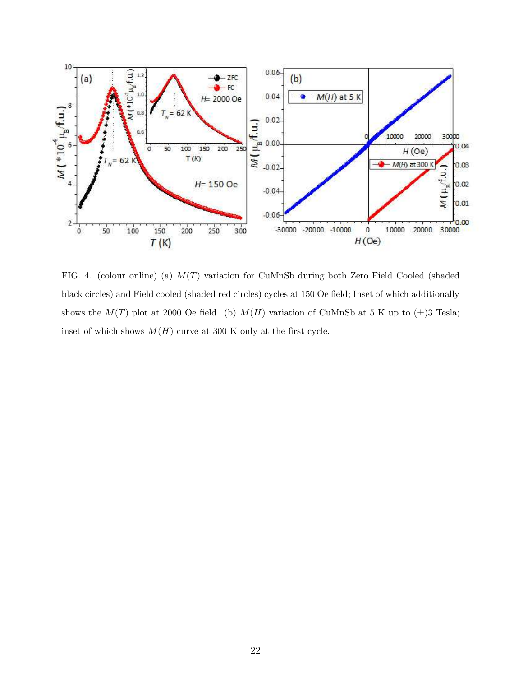

FIG. 4. (colour online) (a) M(T) variation for CuMnSb during both Zero Field Cooled (shaded black circles) and Field cooled (shaded red circles) cycles at 150 Oe field; Inset of which additionally shows the  $M(T)$  plot at 2000 Oe field. (b)  $M(H)$  variation of CuMnSb at 5 K up to  $(\pm)3$  Tesla; inset of which shows  $M(H)$  curve at 300 K only at the first cycle.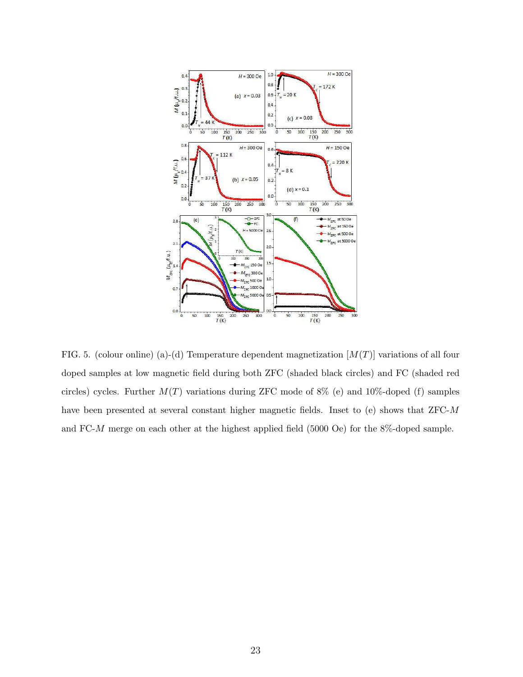

FIG. 5. (colour online) (a)-(d) Temperature dependent magnetization  $[M(T)]$  variations of all four doped samples at low magnetic field during both ZFC (shaded black circles) and FC (shaded red circles) cycles. Further  $M(T)$  variations during ZFC mode of 8% (e) and 10%-doped (f) samples have been presented at several constant higher magnetic fields. Inset to (e) shows that ZFC-M and FC-M merge on each other at the highest applied field (5000 Oe) for the 8%-doped sample.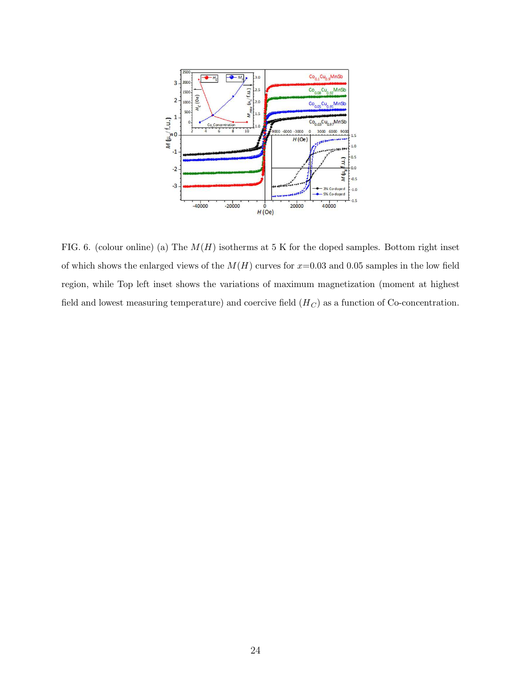

FIG. 6. (colour online) (a) The  $M(H)$  isotherms at 5 K for the doped samples. Bottom right inset of which shows the enlarged views of the  $M(H)$  curves for  $x=0.03$  and 0.05 samples in the low field region, while Top left inset shows the variations of maximum magnetization (moment at highest field and lowest measuring temperature) and coercive field  $(H_C)$  as a function of Co-concentration.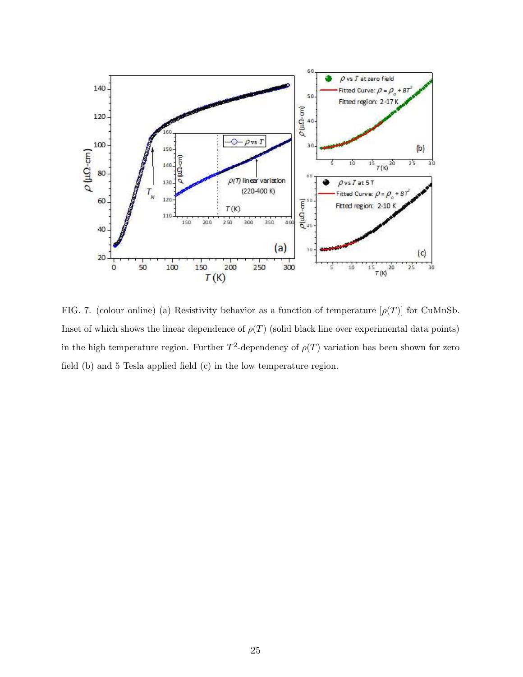

FIG. 7. (colour online) (a) Resistivity behavior as a function of temperature  $[\rho(T)]$  for CuMnSb. Inset of which shows the linear dependence of  $\rho(T)$  (solid black line over experimental data points) in the high temperature region. Further  $T^2$ -dependency of  $\rho(T)$  variation has been shown for zero field (b) and 5 Tesla applied field (c) in the low temperature region.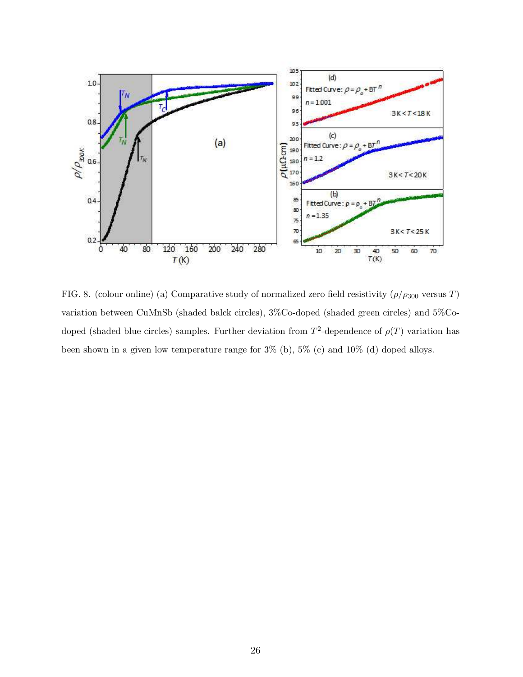

FIG. 8. (colour online) (a) Comparative study of normalized zero field resistivity  $(\rho/\rho_{300}$  versus T) variation between CuMnSb (shaded balck circles), 3%Co-doped (shaded green circles) and 5%Codoped (shaded blue circles) samples. Further deviation from  $T^2$ -dependence of  $\rho(T)$  variation has been shown in a given low temperature range for 3% (b), 5% (c) and 10% (d) doped alloys.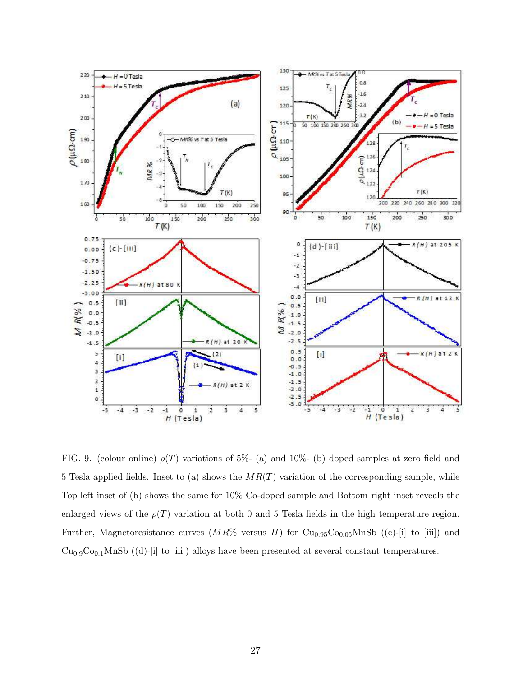

FIG. 9. (colour online)  $\rho(T)$  variations of 5%- (a) and 10%- (b) doped samples at zero field and 5 Tesla applied fields. Inset to (a) shows the  $MR(T)$  variation of the corresponding sample, while Top left inset of (b) shows the same for 10% Co-doped sample and Bottom right inset reveals the enlarged views of the  $\rho(T)$  variation at both 0 and 5 Tesla fields in the high temperature region. Further, Magnetoresistance curves  $(MR\%$  versus H) for Cu<sub>0.95</sub>Co<sub>0.05</sub>MnSb ((c)-[i] to [iii]) and  $Cu<sub>0.9</sub>Co<sub>0.1</sub>MnSb$  ((d)-[i] to [iii]) alloys have been presented at several constant temperatures.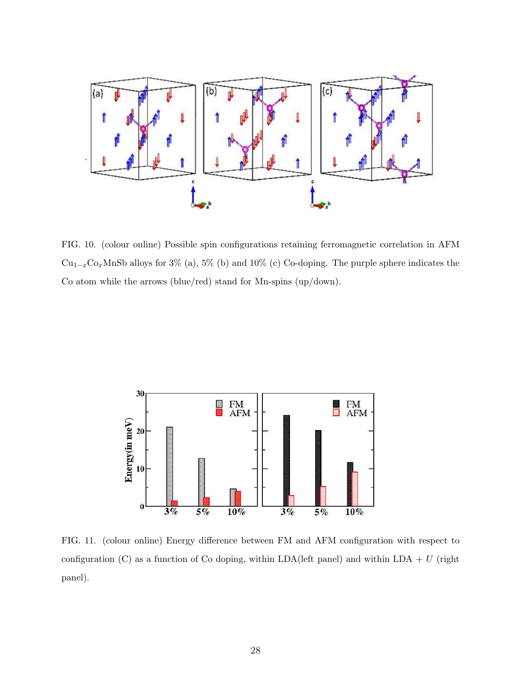

FIG. 10. (colour online) Possible spin configurations retaining ferromagnetic correlation in AFM  $Cu_{1-x}Co_xMnSb$  alloys for 3% (a), 5% (b) and 10% (c) Co-doping. The purple sphere indicates the Co atom while the arrows (blue/red) stand for Mn-spins (up/down).



FIG. 11. (colour online) Energy difference between FM and AFM configuration with respect to configuration (C) as a function of Co doping, within LDA(left panel) and within LDA + U (right panel).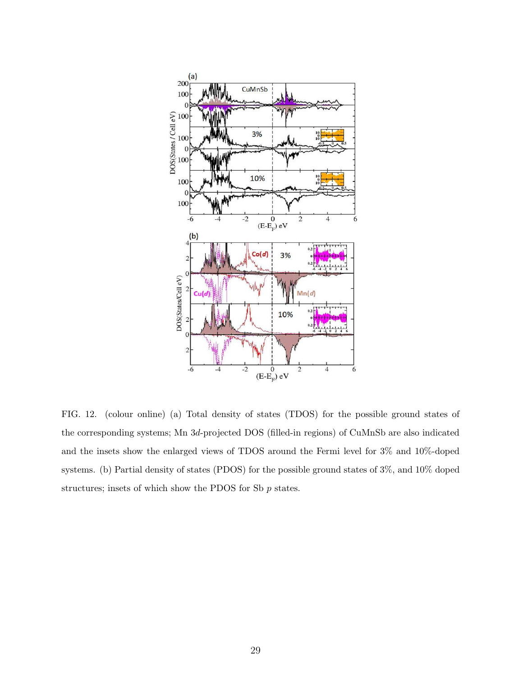

FIG. 12. (colour online) (a) Total density of states (TDOS) for the possible ground states of the corresponding systems; Mn 3d-projected DOS (filled-in regions) of CuMnSb are also indicated and the insets show the enlarged views of TDOS around the Fermi level for 3% and 10%-doped systems. (b) Partial density of states (PDOS) for the possible ground states of 3%, and 10% doped structures; insets of which show the PDOS for Sb  $p$  states.